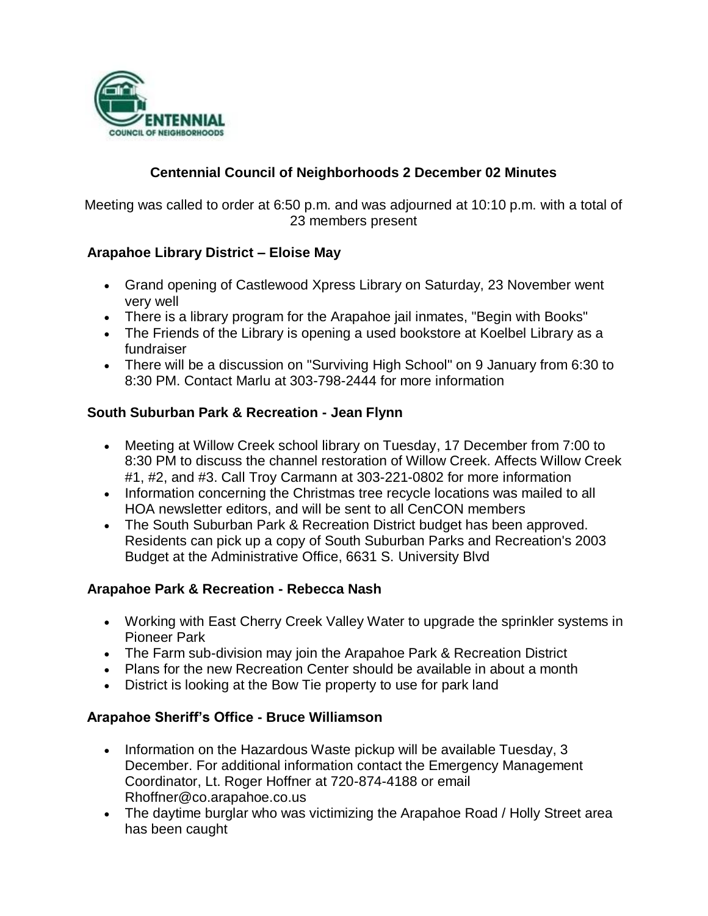

# **Centennial Council of Neighborhoods 2 December 02 Minutes**

Meeting was called to order at 6:50 p.m. and was adjourned at 10:10 p.m. with a total of 23 members present

### **Arapahoe Library District – Eloise May**

- Grand opening of Castlewood Xpress Library on Saturday, 23 November went very well
- There is a library program for the Arapahoe jail inmates, "Begin with Books"
- The Friends of the Library is opening a used bookstore at Koelbel Library as a fundraiser
- There will be a discussion on "Surviving High School" on 9 January from 6:30 to 8:30 PM. Contact Marlu at 303-798-2444 for more information

### **South Suburban Park & Recreation - Jean Flynn**

- Meeting at Willow Creek school library on Tuesday, 17 December from 7:00 to 8:30 PM to discuss the channel restoration of Willow Creek. Affects Willow Creek #1, #2, and #3. Call Troy Carmann at 303-221-0802 for more information
- Information concerning the Christmas tree recycle locations was mailed to all HOA newsletter editors, and will be sent to all CenCON members
- The South Suburban Park & Recreation District budget has been approved. Residents can pick up a copy of South Suburban Parks and Recreation's 2003 Budget at the Administrative Office, 6631 S. University Blvd

#### **Arapahoe Park & Recreation - Rebecca Nash**

- Working with East Cherry Creek Valley Water to upgrade the sprinkler systems in Pioneer Park
- The Farm sub-division may join the Arapahoe Park & Recreation District
- Plans for the new Recreation Center should be available in about a month
- District is looking at the Bow Tie property to use for park land

## **Arapahoe Sheriff's Office - Bruce Williamson**

- Information on the Hazardous Waste pickup will be available Tuesday, 3 December. For additional information contact the Emergency Management Coordinator, Lt. Roger Hoffner at 720-874-4188 or email Rhoffner@co.arapahoe.co.us
- The daytime burglar who was victimizing the Arapahoe Road / Holly Street area has been caught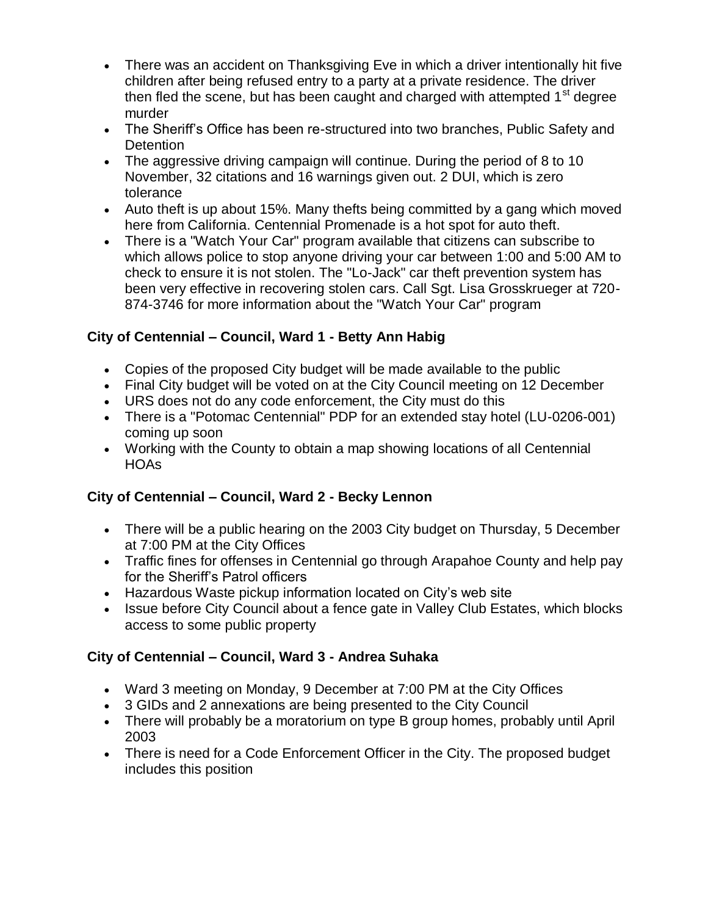- There was an accident on Thanksgiving Eve in which a driver intentionally hit five children after being refused entry to a party at a private residence. The driver then fled the scene, but has been caught and charged with attempted 1<sup>st</sup> degree murder
- The Sheriff's Office has been re-structured into two branches, Public Safety and **Detention**
- The aggressive driving campaign will continue. During the period of 8 to 10 November, 32 citations and 16 warnings given out. 2 DUI, which is zero tolerance
- Auto theft is up about 15%. Many thefts being committed by a gang which moved here from California. Centennial Promenade is a hot spot for auto theft.
- There is a "Watch Your Car" program available that citizens can subscribe to which allows police to stop anyone driving your car between 1:00 and 5:00 AM to check to ensure it is not stolen. The "Lo-Jack" car theft prevention system has been very effective in recovering stolen cars. Call Sgt. Lisa Grosskrueger at 720- 874-3746 for more information about the "Watch Your Car" program

# **City of Centennial – Council, Ward 1 - Betty Ann Habig**

- Copies of the proposed City budget will be made available to the public
- Final City budget will be voted on at the City Council meeting on 12 December
- URS does not do any code enforcement, the City must do this
- There is a "Potomac Centennial" PDP for an extended stay hotel (LU-0206-001) coming up soon
- Working with the County to obtain a map showing locations of all Centennial **HOAs**

# **City of Centennial – Council, Ward 2 - Becky Lennon**

- There will be a public hearing on the 2003 City budget on Thursday, 5 December at 7:00 PM at the City Offices
- Traffic fines for offenses in Centennial go through Arapahoe County and help pay for the Sheriff's Patrol officers
- Hazardous Waste pickup information located on City's web site
- Issue before City Council about a fence gate in Valley Club Estates, which blocks access to some public property

# **City of Centennial – Council, Ward 3 - Andrea Suhaka**

- Ward 3 meeting on Monday, 9 December at 7:00 PM at the City Offices
- 3 GIDs and 2 annexations are being presented to the City Council
- There will probably be a moratorium on type B group homes, probably until April 2003
- There is need for a Code Enforcement Officer in the City. The proposed budget includes this position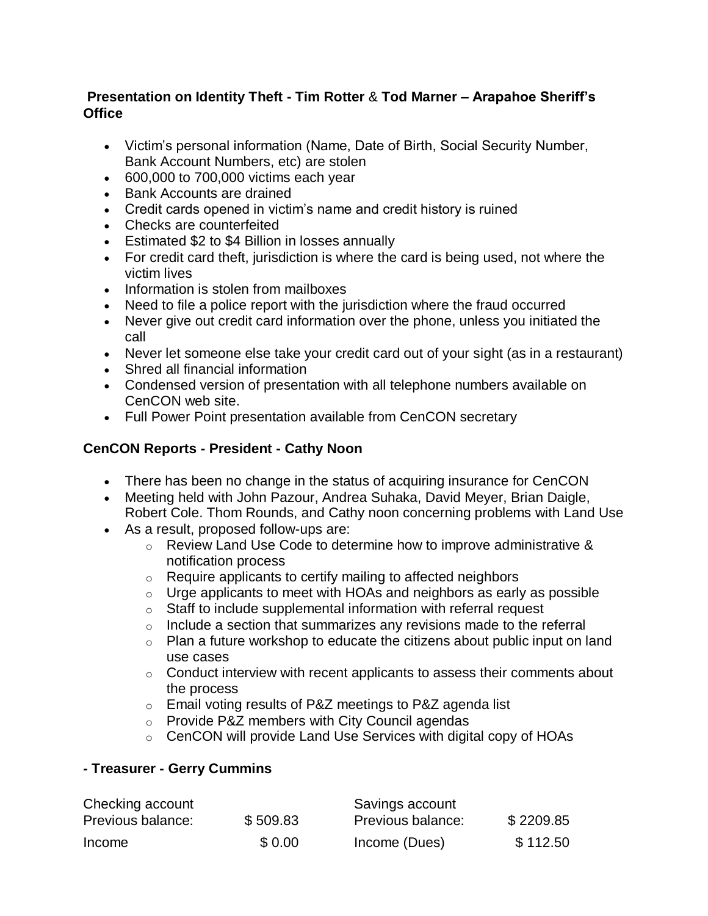## **Presentation on Identity Theft - Tim Rotter** & **Tod Marner – Arapahoe Sheriff's Office**

- Victim's personal information (Name, Date of Birth, Social Security Number, Bank Account Numbers, etc) are stolen
- 600,000 to 700,000 victims each year
- Bank Accounts are drained
- Credit cards opened in victim's name and credit history is ruined
- Checks are counterfeited
- Estimated \$2 to \$4 Billion in losses annually
- For credit card theft, jurisdiction is where the card is being used, not where the victim lives
- Information is stolen from mailboxes
- Need to file a police report with the jurisdiction where the fraud occurred
- Never give out credit card information over the phone, unless you initiated the call
- Never let someone else take your credit card out of your sight (as in a restaurant)
- Shred all financial information
- Condensed version of presentation with all telephone numbers available on CenCON web site.
- Full Power Point presentation available from CenCON secretary

## **CenCON Reports - President - Cathy Noon**

- There has been no change in the status of acquiring insurance for CenCON
- Meeting held with John Pazour, Andrea Suhaka, David Meyer, Brian Daigle, Robert Cole. Thom Rounds, and Cathy noon concerning problems with Land Use
- As a result, proposed follow-ups are:
	- o Review Land Use Code to determine how to improve administrative & notification process
	- o Require applicants to certify mailing to affected neighbors
	- $\circ$  Urge applicants to meet with HOAs and neighbors as early as possible
	- $\circ$  Staff to include supplemental information with referral request
	- $\circ$  Include a section that summarizes any revisions made to the referral
	- $\circ$  Plan a future workshop to educate the citizens about public input on land use cases
	- $\circ$  Conduct interview with recent applicants to assess their comments about the process
	- o Email voting results of P&Z meetings to P&Z agenda list
	- o Provide P&Z members with City Council agendas
	- $\circ$  CenCON will provide Land Use Services with digital copy of HOAs

## **- Treasurer - Gerry Cummins**

| Checking account  |          | Savings account   |           |
|-------------------|----------|-------------------|-----------|
| Previous balance: | \$509.83 | Previous balance: | \$2209.85 |
| Income            | \$0.00   | Income (Dues)     | \$112.50  |